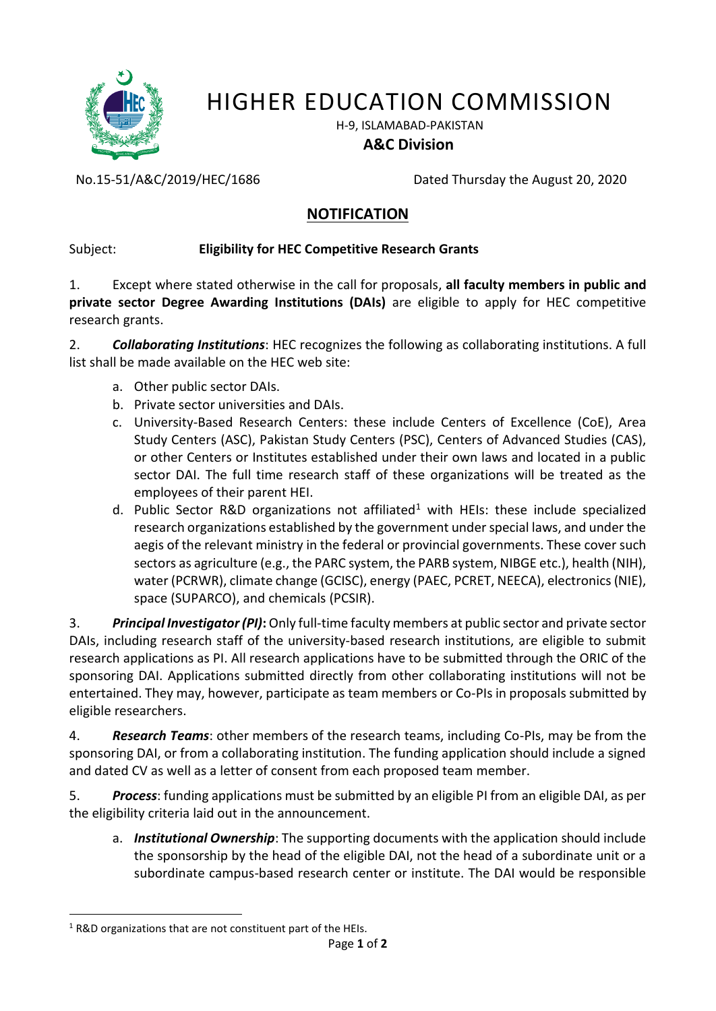

# HIGHER EDUCATION COMMISSION

H-9, ISLAMABAD-PAKISTAN

### **A&C Division**

No.15-51/A&C/2019/HEC/1686 Dated Thursday the August 20, 2020

## **NOTIFICATION**

## Subject: **Eligibility for HEC Competitive Research Grants**

1. Except where stated otherwise in the call for proposals, **all faculty members in public and private sector Degree Awarding Institutions (DAIs)** are eligible to apply for HEC competitive research grants.

2. *Collaborating Institutions*: HEC recognizes the following as collaborating institutions. A full list shall be made available on the HEC web site:

- a. Other public sector DAIs.
- b. Private sector universities and DAIs.
- c. University-Based Research Centers: these include Centers of Excellence (CoE), Area Study Centers (ASC), Pakistan Study Centers (PSC), Centers of Advanced Studies (CAS), or other Centers or Institutes established under their own laws and located in a public sector DAI. The full time research staff of these organizations will be treated as the employees of their parent HEI.
- d. Public Sector R&D organizations not affiliated<sup>1</sup> with HEIs: these include specialized research organizations established by the government under special laws, and under the aegis of the relevant ministry in the federal or provincial governments. These cover such sectors as agriculture (e.g., the PARC system, the PARB system, NIBGE etc.), health (NIH), water (PCRWR), climate change (GCISC), energy (PAEC, PCRET, NEECA), electronics (NIE), space (SUPARCO), and chemicals (PCSIR).

3. *Principal Investigator (PI)***:** Only full-time faculty members at public sector and private sector DAIs, including research staff of the university-based research institutions, are eligible to submit research applications as PI. All research applications have to be submitted through the ORIC of the sponsoring DAI. Applications submitted directly from other collaborating institutions will not be entertained. They may, however, participate as team members or Co-PIs in proposals submitted by eligible researchers.

4. *Research Teams*: other members of the research teams, including Co-PIs, may be from the sponsoring DAI, or from a collaborating institution. The funding application should include a signed and dated CV as well as a letter of consent from each proposed team member.

5. *Process*: funding applications must be submitted by an eligible PI from an eligible DAI, as per the eligibility criteria laid out in the announcement.

a. *Institutional Ownership*: The supporting documents with the application should include the sponsorship by the head of the eligible DAI, not the head of a subordinate unit or a subordinate campus-based research center or institute. The DAI would be responsible

 $\overline{a}$  $1$  R&D organizations that are not constituent part of the HEIs.